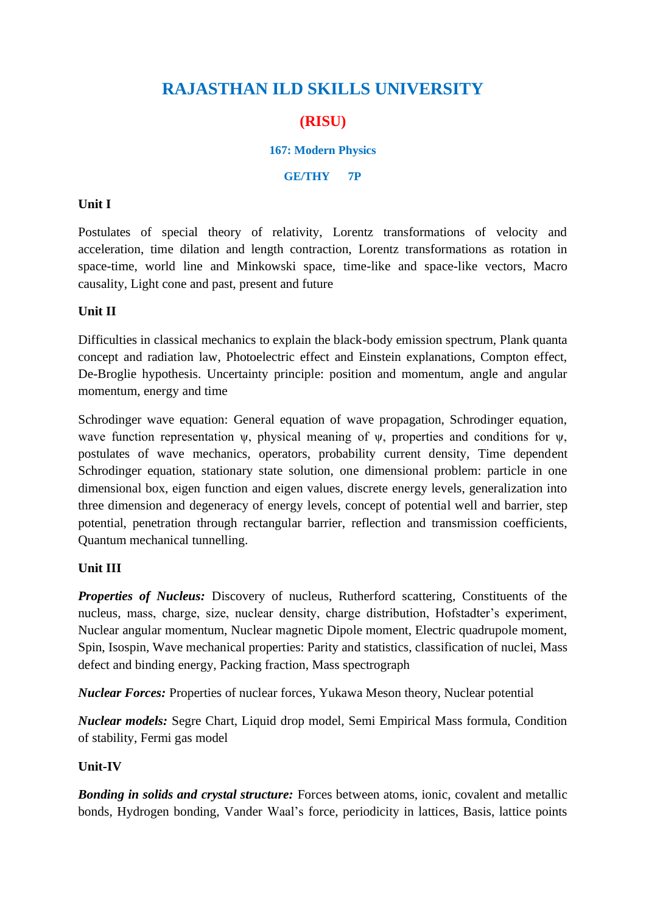# **RAJASTHAN ILD SKILLS UNIVERSITY**

# **(RISU)**

#### **167: Modern Physics**

#### **GE/THY 7P**

#### **Unit I**

Postulates of special theory of relativity, Lorentz transformations of velocity and acceleration, time dilation and length contraction, Lorentz transformations as rotation in space-time, world line and Minkowski space, time-like and space-like vectors, Macro causality, Light cone and past, present and future

#### **Unit II**

Difficulties in classical mechanics to explain the black-body emission spectrum, Plank quanta concept and radiation law, Photoelectric effect and Einstein explanations, Compton effect, De-Broglie hypothesis. Uncertainty principle: position and momentum, angle and angular momentum, energy and time

Schrodinger wave equation: General equation of wave propagation, Schrodinger equation, wave function representation  $\psi$ , physical meaning of  $\psi$ , properties and conditions for  $\psi$ , postulates of wave mechanics, operators, probability current density, Time dependent Schrodinger equation, stationary state solution, one dimensional problem: particle in one dimensional box, eigen function and eigen values, discrete energy levels, generalization into three dimension and degeneracy of energy levels, concept of potential well and barrier, step potential, penetration through rectangular barrier, reflection and transmission coefficients, Quantum mechanical tunnelling.

## **Unit III**

*Properties of Nucleus:* Discovery of nucleus, Rutherford scattering, Constituents of the nucleus, mass, charge, size, nuclear density, charge distribution, Hofstadter's experiment, Nuclear angular momentum, Nuclear magnetic Dipole moment, Electric quadrupole moment, Spin, Isospin, Wave mechanical properties: Parity and statistics, classification of nuclei, Mass defect and binding energy, Packing fraction, Mass spectrograph

*Nuclear Forces:* Properties of nuclear forces, Yukawa Meson theory, Nuclear potential

*Nuclear models:* Segre Chart, Liquid drop model, Semi Empirical Mass formula, Condition of stability, Fermi gas model

## **Unit-IV**

*Bonding in solids and crystal structure:* Forces between atoms, ionic, covalent and metallic bonds, Hydrogen bonding, Vander Waal's force, periodicity in lattices, Basis, lattice points